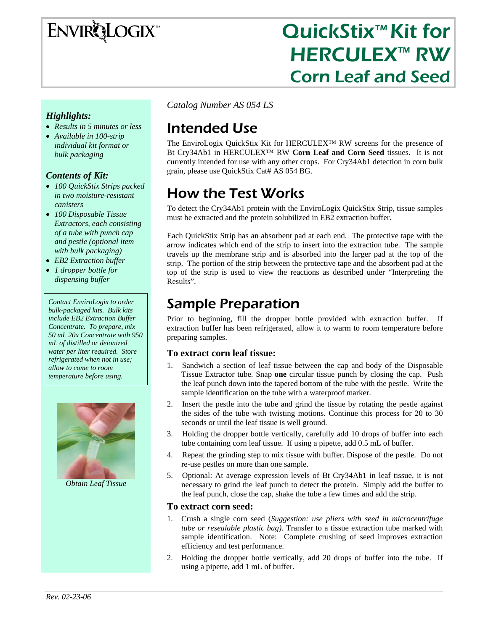

# QuickStix<sup>™</sup> Kit for **HERCULEX™ RW** Corn Leaf and Seed

#### *Highlights:*

- *Results in 5 minutes or less*
- *Available in 100-strip individual kit format or bulk packaging*

#### *Contents of Kit:*

- *100 QuickStix Strips packed in two moisture-resistant canisters*
- *100 Disposable Tissue Extractors, each consisting of a tube with punch cap and pestle (optional item with bulk packaging)*
- *EB2 Extraction buffer*
- *1 dropper bottle for dispensing buffer*

*Contact EnviroLogix to order bulk-packaged kits. Bulk kits include EB2 Extraction Buffer Concentrate. To prepare, mix 50 mL 20x Concentrate with 950 mL of distilled or deionized water per liter required. Store refrigerated when not in use; allow to come to room temperature before using.* 



*Obtain Leaf Tissue* 

*Catalog Number AS 054 LS* 

# Intended Use

The EnviroLogix QuickStix Kit for HERCULEX™ RW screens for the presence of Bt Cry34Ab1 in HERCULEX™ RW **Corn Leaf and Corn Seed** tissues. It is not currently intended for use with any other crops. For Cry34Ab1 detection in corn bulk grain, please use QuickStix Cat# AS 054 BG.

# How the Test Works

To detect the Cry34Ab1 protein with the EnviroLogix QuickStix Strip, tissue samples must be extracted and the protein solubilized in EB2 extraction buffer.

Each QuickStix Strip has an absorbent pad at each end. The protective tape with the arrow indicates which end of the strip to insert into the extraction tube. The sample travels up the membrane strip and is absorbed into the larger pad at the top of the strip. The portion of the strip between the protective tape and the absorbent pad at the top of the strip is used to view the reactions as described under "Interpreting the Results".

## Sample Preparation

Prior to beginning, fill the dropper bottle provided with extraction buffer. If extraction buffer has been refrigerated, allow it to warm to room temperature before preparing samples.

#### **To extract corn leaf tissue:**

- Sandwich a section of leaf tissue between the cap and body of the Disposable Tissue Extractor tube. Snap **one** circular tissue punch by closing the cap. Push the leaf punch down into the tapered bottom of the tube with the pestle. Write the sample identification on the tube with a waterproof marker.
- 2. Insert the pestle into the tube and grind the tissue by rotating the pestle against the sides of the tube with twisting motions. Continue this process for 20 to 30 seconds or until the leaf tissue is well ground.
- 3. Holding the dropper bottle vertically, carefully add 10 drops of buffer into each tube containing corn leaf tissue. If using a pipette, add 0.5 mL of buffer.
- 4. Repeat the grinding step to mix tissue with buffer. Dispose of the pestle. Do not re-use pestles on more than one sample.
- 5. Optional: At average expression levels of Bt Cry34Ab1 in leaf tissue, it is not necessary to grind the leaf punch to detect the protein. Simply add the buffer to the leaf punch, close the cap, shake the tube a few times and add the strip.

#### **To extract corn seed:**

- 1. Crush a single corn seed (*Suggestion: use pliers with seed in microcentrifuge tube or resealable plastic bag)*. Transfer to a tissue extraction tube marked with sample identification. Note: Complete crushing of seed improves extraction efficiency and test performance.
- 2. Holding the dropper bottle vertically, add 20 drops of buffer into the tube. If using a pipette, add 1 mL of buffer.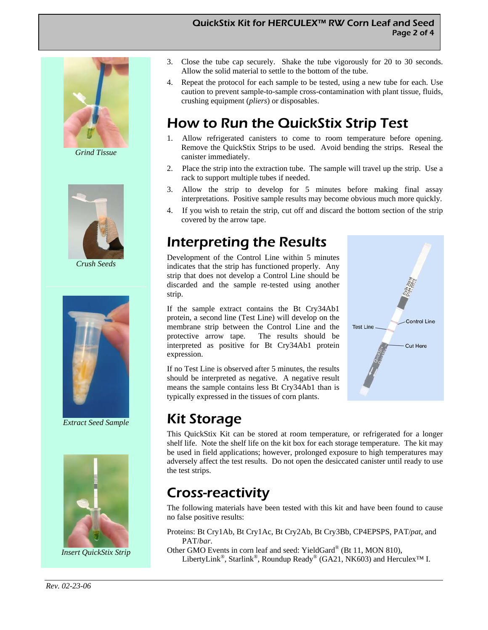#### QuickStix Kit for HERCULEX™ RW Corn Leaf and Seed Page 2 of 4



*Grind Tissue* 



*Crush Seeds* 



*Extract Seed Sample* 



*Insert QuickStix Strip* 

- 3. Close the tube cap securely. Shake the tube vigorously for 20 to 30 seconds. Allow the solid material to settle to the bottom of the tube.
- 4. Repeat the protocol for each sample to be tested, using a new tube for each. Use caution to prevent sample-to-sample cross-contamination with plant tissue, fluids, crushing equipment (*pliers*) or disposables.

# How to Run the QuickStix Strip Test

- 1. Allow refrigerated canisters to come to room temperature before opening. Remove the QuickStix Strips to be used. Avoid bending the strips. Reseal the canister immediately.
- 2. Place the strip into the extraction tube. The sample will travel up the strip. Use a rack to support multiple tubes if needed.
- 3. Allow the strip to develop for 5 minutes before making final assay interpretations. Positive sample results may become obvious much more quickly.
- 4. If you wish to retain the strip, cut off and discard the bottom section of the strip covered by the arrow tape.

# Interpreting the Results

Development of the Control Line within 5 minutes indicates that the strip has functioned properly. Any strip that does not develop a Control Line should be discarded and the sample re-tested using another strip.

If the sample extract contains the Bt Cry34Ab1 protein, a second line (Test Line) will develop on the membrane strip between the Control Line and the protective arrow tape. The results should be interpreted as positive for Bt Cry34Ab1 protein expression.

If no Test Line is observed after 5 minutes, the results should be interpreted as negative. A negative result means the sample contains less Bt Cry34Ab1 than is typically expressed in the tissues of corn plants.



## Kit Storage

This QuickStix Kit can be stored at room temperature, or refrigerated for a longer shelf life. Note the shelf life on the kit box for each storage temperature. The kit may be used in field applications; however, prolonged exposure to high temperatures may adversely affect the test results. Do not open the desiccated canister until ready to use the test strips.

## Cross-reactivity

The following materials have been tested with this kit and have been found to cause no false positive results:

Proteins: Bt Cry1Ab, Bt Cry1Ac, Bt Cry2Ab, Bt Cry3Bb, CP4EPSPS, PAT/*pat*, and PAT/*bar*.

Other GMO Events in corn leaf and seed: YieldGard® (Bt 11, MON 810), LibertyLink®, Starlink®, Roundup Ready® (GA21, NK603) and Herculex™ I.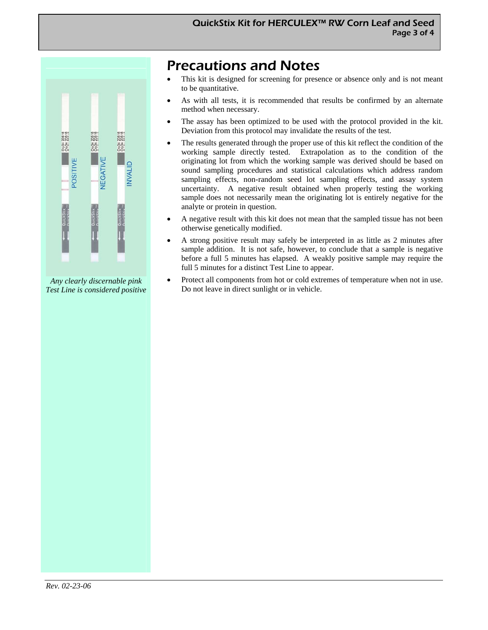

*Any clearly discernable pink Test Line is considered positive* 

### Precautions and Notes

- This kit is designed for screening for presence or absence only and is not meant to be quantitative.
- As with all tests, it is recommended that results be confirmed by an alternate method when necessary.
- The assay has been optimized to be used with the protocol provided in the kit. Deviation from this protocol may invalidate the results of the test.
- The results generated through the proper use of this kit reflect the condition of the working sample directly tested. Extrapolation as to the condition of the originating lot from which the working sample was derived should be based on sound sampling procedures and statistical calculations which address random sampling effects, non-random seed lot sampling effects, and assay system uncertainty. A negative result obtained when properly testing the working sample does not necessarily mean the originating lot is entirely negative for the analyte or protein in question.
- A negative result with this kit does not mean that the sampled tissue has not been otherwise genetically modified.
- A strong positive result may safely be interpreted in as little as 2 minutes after sample addition. It is not safe, however, to conclude that a sample is negative before a full 5 minutes has elapsed. A weakly positive sample may require the full 5 minutes for a distinct Test Line to appear.
- Protect all components from hot or cold extremes of temperature when not in use. Do not leave in direct sunlight or in vehicle.